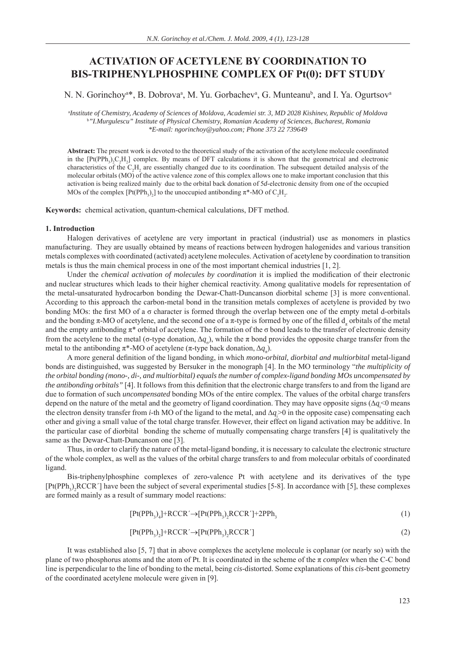# **ACTIVATION OF ACETYLENE BY COORDINATION TO BIS-TRIPHENYLPHOSPHINE COMPLEX OF Pt(0): DFT STUDY**

N. N. Gorinchoy<sup>a\*</sup>, B. Dobrova<sup>a</sup>, M. Yu. Gorbachev<sup>a</sup>, G. Munteanu<sup>b</sup>, and I. Ya. Ogurtsov<sup>a</sup>

a *Institute of Chemistry, Academy of Sciences of Moldova, Academiei str. 3, MD 2028 Kishinev, Republic of Moldova* b *"I.Murgulescu" Institute of Physical Chemistry, Romanian Academy of Sciences, Bucharest, Romania \*E-mail: ngorinchoy@yahoo.com; Phone 373 22 739649*

**Abstract:** The present work is devoted to the theoretical study of the activation of the acetylene molecule coordinated in the  $[Pt(PPh<sub>3</sub>)<sub>2</sub>C<sub>2</sub>H<sub>2</sub>]$  complex. By means of DFT calculations it is shown that the geometrical and electronic characteristics of the  $C_2H_2$  are essentially changed due to its coordination. The subsequent detailed analysis of the molecular orbitals (MO) of the active valence zone of this complex allows one to make important conclusion that this activation is being realized mainly due to the orbital back donation of 5*d*-electronic density from one of the occupied MOs of the complex  $[Pt(PPh_3)_2]$  to the unoccupied antibonding  $\pi^*$ -MO of  $C_2H_2$ .

**Keywords:** chemical activation, quantum-chemical calculations, DFT method.

#### **1. Introduction**

Halogen derivatives of acetylene are very important in practical (industrial) use as monomers in plastics manufacturing. They are usually obtained by means of reactions between hydrogen halogenides and various transition metals complexes with coordinated (activated) acetylene molecules. Activation of acetylene by coordination to transition metals is thus the main chemical process in one of the most important chemical industries [1, 2].

Under the *chemical activation of molecules* by *coordination* it is implied the modification of their electronic and nuclear structures which leads to their higher chemical reactivity. Among qualitative models for representation of the metal-unsaturated hydrocarbon bonding the Dewar-Chatt-Duncanson diorbital scheme [3] is more conventional. According to this approach the carbon-metal bond in the transition metals complexes of acetylene is provided by two bonding MOs: the first MO of a  $\sigma$  character is formed through the overlap between one of the empty metal d-orbitals and the bonding  $\pi$ -MO of acetylene, and the second one of a  $\pi$ -type is formed by one of the filled  $d_{\pi}$  orbitals of the metal and the empty antibonding  $\pi^*$  orbital of acetylene. The formation of the  $\sigma$  bond leads to the transfer of electronic density from the acetylene to the metal (σ-type donation,  $\Delta q_o$ ), while the π bond provides the opposite charge transfer from the metal to the antibonding  $\pi^*$ -MO of acetylene ( $\pi$ -type back donation,  $\Delta q_{\pi}$ ).

A more general definition of the ligand bonding, in which *mono-orbital, diorbital and multiorbital* metal-ligand bonds are distinguished, was suggested by Bersuker in the monograph [4]. In the MO terminology "*the multiplicity of the orbital bonding (mono-, di-, and multiorbital) equals the number of complex-ligand bonding MOs uncompensated by the antibonding orbitals*" [4]. It follows from this definition that the electronic charge transfers to and from the ligand are due to formation of such *uncompensated* bonding MOs of the entire complex. The values of the orbital charge transfers depend on the nature of the metal and the geometry of ligand coordination. They may have opposite signs  $(\Delta q_i^{\text{}}\leq 0 \text{ means})$ the electron density transfer from *i*-th MO of the ligand to the metal, and  $\Delta q$ <sup>></sup> 0 in the opposite case) compensating each other and giving a small value of the total charge transfer. However, their effect on ligand activation may be additive. In the particular case of diorbital bonding the scheme of mutually compensating charge transfers [4] is qualitatively the same as the Dewar-Chatt-Duncanson one [3].

Thus, in order to clarify the nature of the metal-ligand bonding, it is necessary to calculate the electronic structure of the whole complex, as well as the values of the orbital charge transfers to and from molecular orbitals of coordinated ligand.

Bis-triphenylphosphine complexes of zero-valence Pt with acetylene and its derivatives of the type  $[Pt(PPh<sub>3</sub>)<sub>2</sub>RCCR']$  have been the subject of several experimental studies [5-8]. In accordance with [5], these complexes are formed mainly as a result of summary model reactions:

$$
[Pt(PPh3)4] + RCCR' \rightarrow [Pt(PPh3)2RCCR'] + 2PPh3
$$
\n(1)

$$
[Pt(PPh3)2] + RCCR' \rightarrow [Pt(PPh3)2RCCR']
$$
\n(2)

It was established also [5, 7] that in above complexes the acetylene molecule is coplanar (or nearly so) with the plane of two phosphorus atoms and the atom of Pt. It is coordinated in the scheme of the π *complex* when the C-C bond line is perpendicular to the line of bonding to the metal, being *cis*-distorted. Some explanations of this *cis*-bent geometry of the coordinated acetylene molecule were given in [9].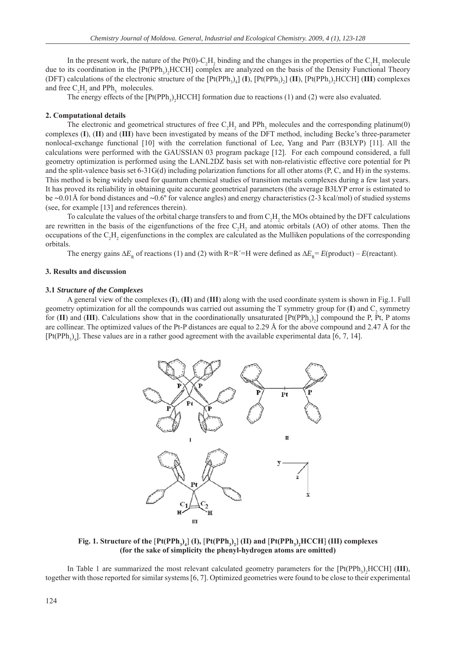In the present work, the nature of the Pt(0)-C<sub>2</sub>H<sub>2</sub> binding and the changes in the properties of the C<sub>2</sub>H<sub>2</sub> molecule due to its coordination in the  $[Pt(PPh<sub>3</sub>)<sub>2</sub>HCCH]$  complex are analyzed on the basis of the Density Functional Theory (DFT) calculations of the electronic structure of the  $[Pt(PPh_3)_4]$  (I),  $[Pt(PPh_3)_2]$  (II),  $[Pt(PPh_3)_2]$  HCCH] (III) complexes and free  $C_2H_2$  and PPh<sub>3</sub> molecules.

The energy effects of the  $[Pt(PPh<sub>3</sub>)<sub>2</sub>HCCH]$  formation due to reactions (1) and (2) were also evaluated.

#### **2. Computational details**

The electronic and geometrical structures of free  $C_2H_2$  and PPh<sub>3</sub> molecules and the corresponding platinum(0) complexes (**I**), (**II**) and (**III**) have been investigated by means of the DFT method, including Becke's three-parameter nonlocal-exchange functional [10] with the correlation functional of Lee, Yang and Parr (B3LYP) [11]. All the calculations were performed with the GAUSSIAN 03 program package [12]. For each compound considered, a full geometry optimization is performed using the LANL2DZ basis set with non-relativistic effective core potential for Pt and the split-valence basis set 6-31G(d) including polarization functions for all other atoms (P, C, and H) in the systems. This method is being widely used for quantum chemical studies of transition metals complexes during a few last years. It has proved its reliability in obtaining quite accurate geometrical parameters (the average B3LYP error is estimated to be  $\sim 0.01$ Å for bond distances and  $\sim 0.6^\circ$  for valence angles) and energy characteristics (2-3 kcal/mol) of studied systems (see, for example [13] and references therein).

To calculate the values of the orbital charge transfers to and from  $C_2H_2$  the MOs obtained by the DFT calculations are rewritten in the basis of the eigenfunctions of the free  $C_2H_2$  and atomic orbitals (AO) of other atoms. Then the occupations of the  $C_2H_2$  eigenfunctions in the complex are calculated as the Mulliken populations of the corresponding orbitals.

The energy gains  $\Delta E_R$  of reactions (1) and (2) with R=R'=H were defined as  $\Delta E_R = E($ product) – *E*(reactant).

#### **3. Results and discussion**

#### **3.1** *Structure of the Complexes*

A general view of the complexes (**I**), (**II**) and (**III**) along with the used coordinate system is shown in Fig.1. Full geometry optimization for all the compounds was carried out assuming the T symmetry group for  $(I)$  and  $C_2$  symmetry for  $(II)$  and  $(III)$ . Calculations show that in the coordinationally unsaturated  $[Pt(PPh<sub>3</sub>)<sub>2</sub>]$  compound the P, Pt, P atoms are collinear. The optimized values of the Pt-P distances are equal to 2.29 Å for the above compound and 2.47 Å for the  $[Pt(PPh<sub>3</sub>)<sub>4</sub>]$ . These values are in a rather good agreement with the available experimental data [6, 7, 14].



 $\text{Fig. 1. Structure of the } [\text{Pt(PPh}_3)_4] \text{ (I), } [\text{Pt(PPh}_3)_2] \text{ (II) and } [\text{Pt(PPh}_3)_2\text{HCCH}] \text{ (III) complexes}$ **(for the sake of simplicity the phenyl-hydrogen atoms are omitted)**

In Table 1 are summarized the most relevant calculated geometry parameters for the [Pt(PPh<sub>3</sub>)<sub>2</sub>HCCH] (III), together with those reported for similar systems [6, 7]. Optimized geometries were found to be close to their experimental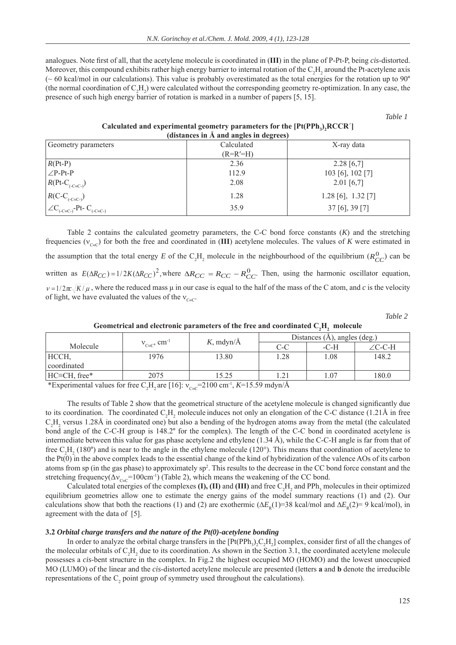analogues. Note first of all, that the acetylene molecule is coordinated in (III) in the plane of P-Pt-P, being *cis*-distorted. Moreover, this compound exhibits rather high energy barrier to internal rotation of the  $C_2H_2$  around the Pt-acetylene axis  $\sim$  60 kcal/mol in our calculations). This value is probably overestimated as the total energies for the rotation up to 90 $^{\circ}$ (the normal coordination of  $C_2H_2$ ) were calculated without the corresponding geometry re-optimization. In any case, the presence of such high energy barrier of rotation is marked in a number of papers [5, 15].

*Table 1* 

Calculated and experimental geometry parameters for the [Pt(PPh<sub>3</sub>)<sub>2</sub>RCCR<sup>'</sup>] **(distances in Å and angles in degrees)**

| $($ unstances in $\pi$ and angles in degrees                      |            |                        |  |  |  |  |
|-------------------------------------------------------------------|------------|------------------------|--|--|--|--|
| Geometry parameters                                               | Calculated | X-ray data             |  |  |  |  |
|                                                                   | $(R=R'=H)$ |                        |  |  |  |  |
| $R(Pt-P)$                                                         | 2.36       | $2.28\ [6,7]$          |  |  |  |  |
| $\angle P-Pt-P$                                                   | 112.9      | 103 [6], 102 [7]       |  |  |  |  |
| $R(Pt-C_{(-C=C-)})$                                               | 2.08       | $2.01$ [6,7]           |  |  |  |  |
|                                                                   | 1.28       | $1.28$ [6], $1.32$ [7] |  |  |  |  |
| $R(C-C_{(-C=C)})$<br>$\angle C_{(-C=C)}$ -Pt-C <sub>(-C=C-)</sub> | 35.9       | $37$ [6], $39$ [7]     |  |  |  |  |

Table 2 contains the calculated geometry parameters, the C-C bond force constants (*K*) and the stretching frequencies ( $v_{C}$ ) for both the free and coordinated in (III) acetylene molecules. The values of *K* were estimated in the assumption that the total energy E of the  $C_2H_2$  molecule in the neighbourhood of the equilibrium  $(R_{CC}^0)$  can be written as  $E(\Delta R_{CC}) = 1/2K(\Delta R_{CC})^2$ , where  $\Delta R_{CC} = R_{CC} - R_{CC}^0$ . Then, using the harmonic oscillator equation,  $v = 1/2\pi\sqrt{K/\mu}$ , where the reduced mass  $\mu$  in our case is equal to the half of the mass of the C atom, and *c* is the velocity of light, we have evaluated the values of the  $v_{C}$ = $C$ .

*Table 2* 

|              |                           |              | Distances $(A)$ , angles $(\text{deg.})$ |        |        |  |
|--------------|---------------------------|--------------|------------------------------------------|--------|--------|--|
| Molecule     | $V_{C=}$ cm <sup>-1</sup> | $K$ , mdyn/Å | C-C                                      | $-C-H$ | ∠C-C-H |  |
| HCCH,        | 1976                      | 13.80        | 1.28                                     | 1.08   | 148.2  |  |
| coordinated  |                           |              |                                          |        |        |  |
| HC≡CH, free* | 2075                      | 15.25        |                                          | 1.07   | 180.0  |  |

Geometrical and electronic parameters of the free and coordinated  $C_2H_2$  molecule

\*Experimental values for free C<sub>2</sub>H<sub>2</sub> are [16]:  $v_{c} = 2100 \text{ cm}^{-1}$ , *K*=15.59 mdyn/Å

The results of Table 2 show that the geometrical structure of the acetylene molecule is changed significantly due to its coordination. The coordinated  $C_2H_2$  molecule induces not only an elongation of the C-C distance (1.21Å in free  $C_2H_2$  versus 1.28Å in coordinated one) but also a bending of the hydrogen atoms away from the metal (the calculated bond angle of the C-C-H group is 148.2° for the complex). The length of the C-C bond in coordinated acetylene is intermediate between this value for gas phase acetylene and ethylene (1.34 Å), while the C-C-H angle is far from that of free  $C_2H_2$  (180°) and is near to the angle in the ethylene molecule (120°). This means that coordination of acetylene to the Pt(0) in the above complex leads to the essential change of the kind of hybridization of the valence AOs of its carbon atoms from sp (in the gas phase) to approximately sp<sup>2</sup>. This results to the decrease in the CC bond force constant and the stretching frequency( $\Delta v_{C}$ =C=100cm<sup>-1</sup>) (Table 2), which means the weakening of the CC bond.

Calculated total energies of the complexes  $(I)$ ,  $(II)$  and  $(III)$  and free  $C_2H_2$  and PPh<sub>3</sub> molecules in their optimized equilibrium geometries allow one to estimate the energy gains of the model summary reactions (1) and (2). Our calculations show that both the reactions (1) and (2) are exothermic ( $\Delta E_R(1)=38$  kcal/mol and  $\Delta E_R(2)=9$  kcal/mol), in agreement with the data of [5].

### **3.2** *Orbital charge transfers and the nature of the Pt(0)-acetylene bonding*

In order to analyze the orbital charge transfers in the  $[Pt(PPh_3)_2C_2H_2]$  complex, consider first of all the changes of the molecular orbitals of  $C_2H_2$  due to its coordination. As shown in the Section 3.1, the coordinated acetylene molecule possesses a *cis*-bent structure in the complex. In Fig.2 the highest occupied MO (HOMO) and the lowest unoccupied MO (LUMO) of the linear and the *cis*-distorted acetylene molecule are presented (letters **a** and **b** denote the irreducible representations of the  $C_2$  point group of symmetry used throughout the calculations).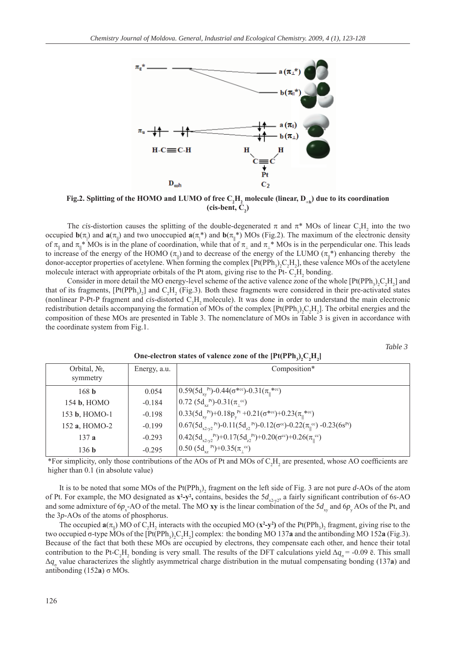

**Fig.2.** Splitting of the HOMO and LUMO of free  $\rm C_2H_2$  molecule (linear,  $\rm D_{\rm \omega h})$  due to its coordination  $(cis-bent, C<sub>2</sub>)$ 

The *cis*-distortion causes the splitting of the double-degenerated  $\pi$  and  $\pi^*$  MOs of linear C<sub>2</sub>H<sub>2</sub> into the two occupied  $\mathbf{b}(\pi)$  and  $\mathbf{a}(\pi)$  and two unoccupied  $\mathbf{a}(\pi)$ <sup>\*</sup>) and  $\mathbf{b}(\pi)$ <sup>\*</sup>) MOs (Fig.2). The maximum of the electronic density of  $\pi_{\parallel}$  and  $\pi_{\parallel}$ \* MOs is in the plane of coordination, while that of  $\pi_{\perp}$  and  $\pi_{\perp}$ \* MOs is in the perpendicular one. This leads to increase of the energy of the HOMO ( $\pi_{\parallel}$ ) and to decrease of the energy of the LUMO ( $\pi_{\parallel}^*$ ) enhancing thereby the donor-acceptor properties of acetylene. When forming the complex  $[Pt(PPh_3)_2C_2H_2]$ , these valence MOs of the acetylene molecule interact with appropriate orbitals of the Pt atom, giving rise to the Pt- $C_2H_2$  bonding.

Consider in more detail the MO energy-level scheme of the active valence zone of the whole  $[Pt(PPh<sub>3</sub>)<sub>2</sub>C<sub>2</sub>H<sub>2</sub>]$  and that of its fragments,  $[Pt(PPh<sub>3</sub>)<sub>2</sub>]$  and  $C<sub>2</sub>H<sub>2</sub>$  (Fig.3). Both these fragments were considered in their pre-activated states (nonlinear P-Pt-P fragment and  $cis$ -distorted  $C_2H_2$  molecule). It was done in order to understand the main electronic redistribution details accompanying the formation of MOs of the complex  $[Pt(PPh_3)_2C_2H_2]$ . The orbital energies and the composition of these MOs are presented in Table 3. The nomenclature of MOs in Table 3 is given in accordance with the coordinate system from Fig.1.

*Table 3* 

| Orbital, $N_2$ ,<br>symmetry | Energy, a.u. | Composition*                                                                                                                 |
|------------------------------|--------------|------------------------------------------------------------------------------------------------------------------------------|
| 168 <sub>b</sub>             | 0.054        | $\left[0.59(5d_{xy}^{Pt})-0.44(\sigma^{*cc})-0.31(\pi_1^{*cc})\right]$                                                       |
| 154 b, HOMO                  | $-0.184$     | $0.72$ (5d <sub>xz</sub> <sup>Pt</sup> )-0.31( $\pi$ <sub>1</sub> cc)                                                        |
| 153 b, HOMO-1                | $-0.198$     | $\left[0.33(5d_{\rm sv}^{\rm Pt})+0.18p_{\rm v}^{\rm Pt}+0.21(\sigma^{\rm sec})+0.23(\pi_{\rm u}^{\rm sec})\right]$          |
| 152 a, HOMO-2                | $-0.199$     | $\left[0.67(5d_{x^{2}\nu^{2}}^{Pf})-0.11(5d_{z^{2}}^{Pf})-0.12(\sigma^{cc})-0.22(\pi_{\parallel}^{cc})-0.23(6s^{Pt})\right]$ |
| 137a                         | $-0.293$     | $(0.42(5d_{x2-y^2}^{Pf})+0.17(5d_{z2}^{Pf})+0.20(\sigma^{cc})+0.26(\pi_{\parallel}^{cc})$                                    |
| 136 <sub>b</sub>             | $-0.295$     | $(0.50 (5d_{vz}^{Pt})+0.35(\pi e^{c})$                                                                                       |

**One-electron states of valence zone of the**  $[Pt(PPh_3)_2C_2H_2]$ 

\*For simplicity, only those contributions of the AOs of Pt and MOs of  $C_2H_2$  are presented, whose AO coefficients are higher than  $0.1$  (in absolute value)

It is to be noted that some MOs of the Pt(PPh<sub>3</sub>)<sub>2</sub> fragment on the left side of Fig. 3 are not pure *d*-AOs of the atom of Pt. For example, the MO designated as  $x^2-y^2$ , contains, besides the  $5d_{x^2-y^2}$ , a fairly significant contribution of 6*s*-AO and some admixture of  $6p_x$ -AO of the metal. The MO **xy** is the linear combination of the  $5d_{xy}$  and  $6p_y$  AOs of the Pt, and the 3*p*-AOs of the atoms of phosphorus.

The occupied  $\mathbf{a}(\pi_{\parallel})$  MO of C<sub>2</sub>H<sub>2</sub> interacts with the occupied MO ( $\mathbf{x}^2$ - $\mathbf{y}^2$ ) of the Pt(PPh<sub>3</sub>)<sub>2</sub> fragment, giving rise to the two occupied  $\sigma$ -type MOs of the  $[Pt(PPh_3)_2C_2H_2]$  complex: the bonding MO 137**a** and the antibonding MO 152**a** (Fig.3). Because of the fact that both these MOs are occupied by electrons, they compensate each other, and hence their total contribution to the Pt-C<sub>2</sub>H<sub>2</sub> bonding is very small. The results of the DFT calculations yield  $\Delta q_{\sigma}$  = -0.09 ē. This small  $\Delta q_{\sigma}$  value characterizes the slightly asymmetrical charge distribution in the mutual compensating bonding (137a) and antibonding (152**a**) σ MOs.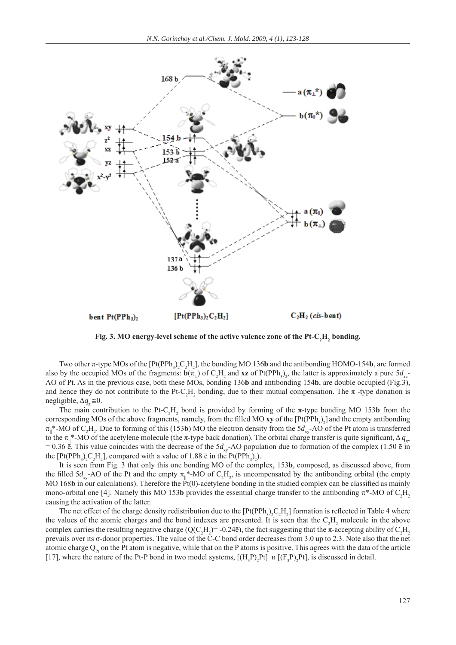

Fig. 3. MO energy-level scheme of the active valence zone of the Pt-C<sub>2</sub>H<sub>2</sub> bonding.

Two other  $\pi$ -type MOs of the  $[Pt(PPh_3)_2C_2H_2]$ , the bonding MO 136**b** and the antibonding HOMO-154**b**, are formed also by the occupied MOs of the fragments:  $\mathbf{b}(\pi_1)$  of C<sub>2</sub>H<sub>2</sub> and **xz** of Pt(PPh<sub>3</sub>)<sub>2</sub>, the latter is approximately a pure 5*d*<sub>xz</sub>-AO of Pt. As in the previous case, both these MOs, bonding 136**b** and antibonding 154**b**, are double occupied (Fig.3), and hence they do not contribute to the Pt-C<sub>2</sub>H<sub>2</sub> bonding, due to their mutual compensation. The  $\pi$ -type donation is negligible,  $\Delta q_* \approx 0$ .

The main contribution to the Pt-C<sub>2</sub>H<sub>2</sub> bond is provided by forming of the  $\pi$ -type bonding MO 153**b** from the corresponding MOs of the above fragments, namely, from the filled MO **xy** of the  $[Pt(PPh<sub>3</sub>)<sub>2</sub>]$  and the empty antibonding  $\pi_{\parallel}$ <sup>\*</sup>-MO of C<sub>2</sub>H<sub>2</sub>. Due to forming of this (153**b**) MO the electron density from the 5*d*<sub>xy</sub>-AO of the Pt atom is transferred to the  $\pi_{\parallel}^*$ -MO of the acetylene molecule (the  $\pi$ -type back donation). The orbital charge transfer is quite significant,  $\Delta q_{\pi^*}$  $= 0.36$   $\ddot{e}$ . This value coincides with the decrease of the 5*d*<sub>xy</sub>-AO population due to formation of the complex (1.50  $\ddot{e}$  in the  $[Pt(PPh<sub>3</sub>)<sub>2</sub>C<sub>2</sub>H<sub>2</sub>]$ , compared with a value of 1.88  $\bar{e}$  in the  $Pt(PPh<sub>3</sub>)<sub>2</sub>$ ).

It is seen from Fig. 3 that only this one bonding MO of the complex, 153**b**, composed, as discussed above, from the filled  $5d_{xy}$ -AO of the Pt and the empty  $\pi_{\parallel}^*$ -MO of C<sub>2</sub>H<sub>2</sub>, is uncompensated by the antibonding orbital (the empty MO 168**b** in our calculations). Therefore the  $\vec{P}t(0)$ -acetylene bonding in the studied complex can be classified as mainly mono-orbital one [4]. Namely this MO 153b provides the essential charge transfer to the antibonding  $\pi^*$ -MO of  $C_2H_2$ causing the activation of the latter.

The net effect of the charge density redistribution due to the  $[Pt(PPh<sub>3</sub>)<sub>2</sub>C<sub>2</sub>H<sub>2</sub>]$  formation is reflected in Table 4 where the values of the atomic charges and the bond indexes are presented. It is seen that the  $C_2H_2$  molecule in the above complex carries the resulting negative charge ( $Q(C_2H_2)$ = -0.24 $\bar{e}$ ), the fact suggesting that the  $\pi$ -accepting ability of  $C_2H_2$ prevails over its σ-donor properties. The value of the C-C bond order decreases from 3.0 up to 2.3. Note also that the net atomic charge  $Q_{p_t}$  on the Pt atom is negative, while that on the P atoms is positive. This agrees with the data of the article [17], where the nature of the Pt-P bond in two model systems,  $[(H_3P)_2Pt]$  *u*  $[(F_3P)_2Pt]$ , is discussed in detail.